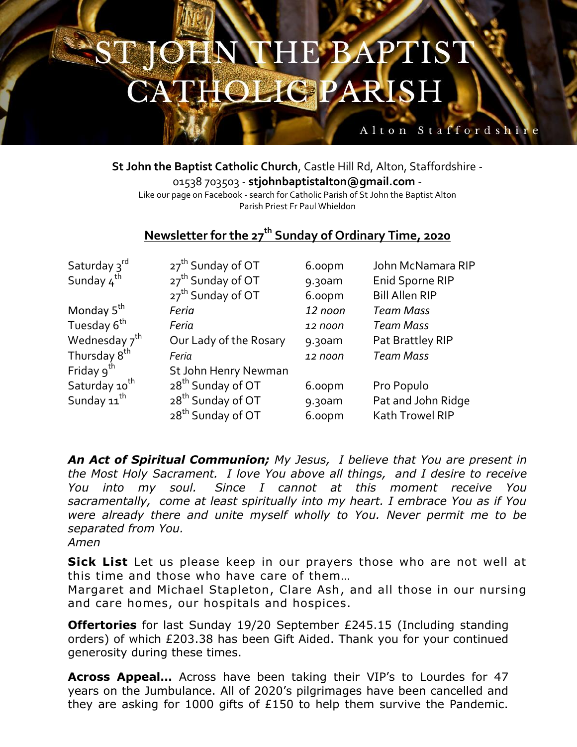## **N THE BAPTIST** 道当人 **HOLIGPARISH**

**St John the Baptist Catholic Church**, Castle Hill Rd, Alton, Staffordshire - 01538 703503 - **stjohnbaptistalton@gmail.com** - Like our page on Facebook - search for Catholic Parish of St John the Baptist Alton Parish Priest Fr Paul Whieldon

Alton Staffordshi

## **Newsletter for the 27th Sunday of Ordinary Time, 2020**

| Saturday 3rd              | 27 <sup>th</sup> Sunday of OT | 6.00pm  | John McNamara RIP     |
|---------------------------|-------------------------------|---------|-----------------------|
| Sunday $4^{th}$           | 27 <sup>th</sup> Sunday of OT | 9.30am  | Enid Sporne RIP       |
|                           | 27 <sup>th</sup> Sunday of OT | 6.00pm  | <b>Bill Allen RIP</b> |
| Monday 5 <sup>th</sup>    | Feria                         | 12 noon | <b>Team Mass</b>      |
| Tuesday 6 <sup>th</sup>   | Feria                         | 12 noon | <b>Team Mass</b>      |
| Wednesday $7^{\text{th}}$ | Our Lady of the Rosary        | 9.30am  | Pat Brattley RIP      |
| Thursday 8 <sup>th</sup>  | Feria                         | 12 noon | <b>Team Mass</b>      |
| Friday $9^{th}$           | St John Henry Newman          |         |                       |
| Saturday 10 <sup>th</sup> | 28 <sup>th</sup> Sunday of OT | 6.00pm  | Pro Populo            |
| Sunday 11 <sup>th</sup>   | 28 <sup>th</sup> Sunday of OT | 9.30am  | Pat and John Ridge    |
|                           | 28 <sup>th</sup> Sunday of OT | 6.00pm  | Kath Trowel RIP       |

*An Act of Spiritual Communion; My Jesus, I believe that You are present in the Most Holy Sacrament. I love You above all things, and I desire to receive You into my soul. Since I cannot at this moment receive You sacramentally, come at least spiritually into my heart. I embrace You as if You were already there and unite myself wholly to You. Never permit me to be separated from You.*

*Amen*

**Sick List** Let us please keep in our prayers those who are not well at this time and those who have care of them…

Margaret and Michael Stapleton, Clare Ash, and all those in our nursing and care homes, our hospitals and hospices.

**Offertories** for last Sunday 19/20 September £245.15 (Including standing orders) of which £203.38 has been Gift Aided. Thank you for your continued generosity during these times.

**Across Appeal…** Across have been taking their VIP's to Lourdes for 47 years on the Jumbulance. All of 2020's pilgrimages have been cancelled and they are asking for 1000 gifts of £150 to help them survive the Pandemic.